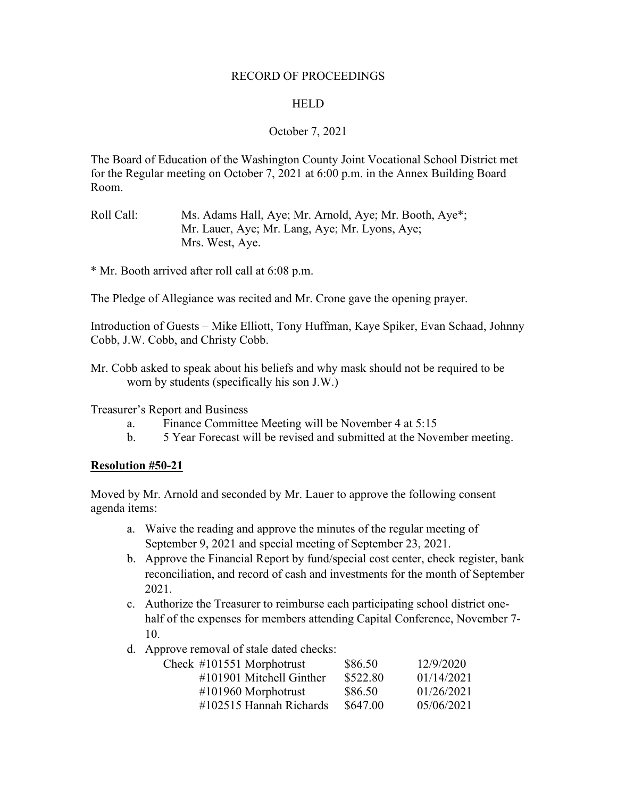#### RECORD OF PROCEEDINGS

#### **HELD**

### October 7, 2021

The Board of Education of the Washington County Joint Vocational School District met for the Regular meeting on October 7, 2021 at 6:00 p.m. in the Annex Building Board Room.

Roll Call: Ms. Adams Hall, Aye; Mr. Arnold, Aye; Mr. Booth, Aye\*; Mr. Lauer, Aye; Mr. Lang, Aye; Mr. Lyons, Aye; Mrs. West, Aye.

\* Mr. Booth arrived after roll call at 6:08 p.m.

The Pledge of Allegiance was recited and Mr. Crone gave the opening prayer.

Introduction of Guests – Mike Elliott, Tony Huffman, Kaye Spiker, Evan Schaad, Johnny Cobb, J.W. Cobb, and Christy Cobb.

Mr. Cobb asked to speak about his beliefs and why mask should not be required to be worn by students (specifically his son J.W.)

Treasurer's Report and Business

- a. Finance Committee Meeting will be November 4 at 5:15
- b. 5 Year Forecast will be revised and submitted at the November meeting.

### **Resolution #50-21**

Moved by Mr. Arnold and seconded by Mr. Lauer to approve the following consent agenda items:

- a. Waive the reading and approve the minutes of the regular meeting of September 9, 2021 and special meeting of September 23, 2021.
- b. Approve the Financial Report by fund/special cost center, check register, bank reconciliation, and record of cash and investments for the month of September 2021.
- c. Authorize the Treasurer to reimburse each participating school district onehalf of the expenses for members attending Capital Conference, November 7- 10.
- d. Approve removal of stale dated checks:

| Check $\#101551$ Morphotrust | \$86.50  | 12/9/2020  |
|------------------------------|----------|------------|
| $\#101901$ Mitchell Ginther  | \$522.80 | 01/14/2021 |
| $\#101960$ Morphotrust       | \$86.50  | 01/26/2021 |
| $\#102515$ Hannah Richards   | \$647.00 | 05/06/2021 |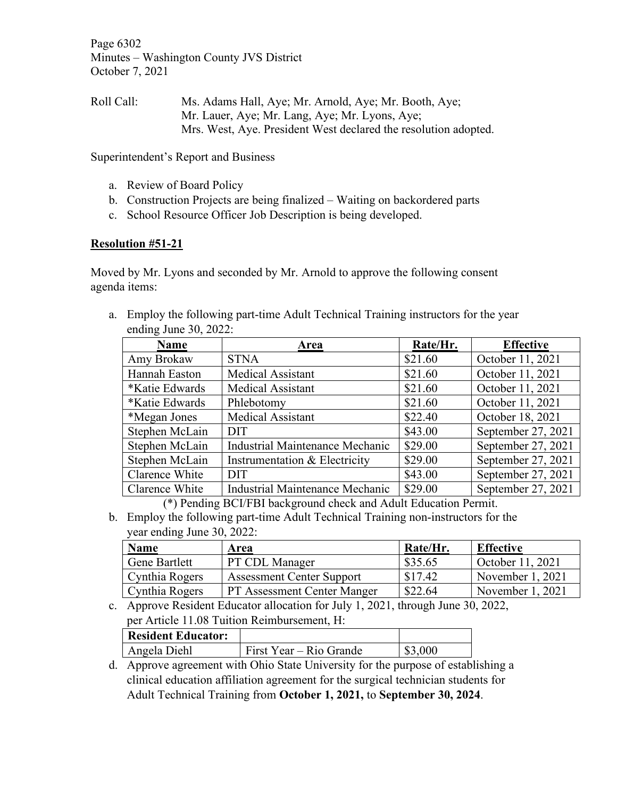Page 6302 Minutes – Washington County JVS District October 7, 2021

Roll Call: Ms. Adams Hall, Aye; Mr. Arnold, Aye; Mr. Booth, Aye; Mr. Lauer, Aye; Mr. Lang, Aye; Mr. Lyons, Aye; Mrs. West, Aye. President West declared the resolution adopted.

Superintendent's Report and Business

- a. Review of Board Policy
- b. Construction Projects are being finalized Waiting on backordered parts
- c. School Resource Officer Job Description is being developed.

### **Resolution #51-21**

Moved by Mr. Lyons and seconded by Mr. Arnold to approve the following consent agenda items:

a. Employ the following part-time Adult Technical Training instructors for the year

| ending June $30$ , $2022$ : |                                        |          |                    |
|-----------------------------|----------------------------------------|----------|--------------------|
| <b>Name</b>                 | Area                                   | Rate/Hr. | <b>Effective</b>   |
| Amy Brokaw                  | <b>STNA</b>                            | \$21.60  | October 11, 2021   |
| Hannah Easton               | <b>Medical Assistant</b>               | \$21.60  | October 11, 2021   |
| *Katie Edwards              | <b>Medical Assistant</b>               | \$21.60  | October 11, 2021   |
| *Katie Edwards              | Phlebotomy                             | \$21.60  | October 11, 2021   |
| *Megan Jones                | <b>Medical Assistant</b>               | \$22.40  | October 18, 2021   |
| Stephen McLain              | <b>DIT</b>                             | \$43.00  | September 27, 2021 |
| Stephen McLain              | <b>Industrial Maintenance Mechanic</b> | \$29.00  | September 27, 2021 |
| Stephen McLain              | Instrumentation & Electricity          | \$29.00  | September 27, 2021 |
| Clarence White              | <b>DIT</b>                             | \$43.00  | September 27, 2021 |
| Clarence White              | Industrial Maintenance Mechanic        | \$29.00  | September 27, 2021 |

(\*) Pending BCI/FBI background check and Adult Education Permit.

b. Employ the following part-time Adult Technical Training non-instructors for the year ending June 30, 2022:

| <b>Name</b>    | <b>Area</b>                        | Rate/Hr. | <b>Effective</b>   |
|----------------|------------------------------------|----------|--------------------|
| Gene Bartlett  | PT CDL Manager                     | \$35.65  | October 11, 2021   |
| Cynthia Rogers | <b>Assessment Center Support</b>   | \$17.42  | November 1, 2021   |
| Cynthia Rogers | <b>PT Assessment Center Manger</b> | \$22.64  | November $1, 2021$ |

c. Approve Resident Educator allocation for July 1, 2021, through June 30, 2022, per Article 11.08 Tuition Reimbursement, H:

| <b>Resident Educator:</b> |                           |         |
|---------------------------|---------------------------|---------|
| Angela Diehl              | 1 First Year – Rio Grande | \$3,000 |
|                           |                           |         |

d. Approve agreement with Ohio State University for the purpose of establishing a clinical education affiliation agreement for the surgical technician students for Adult Technical Training from **October 1, 2021,** to **September 30, 2024**.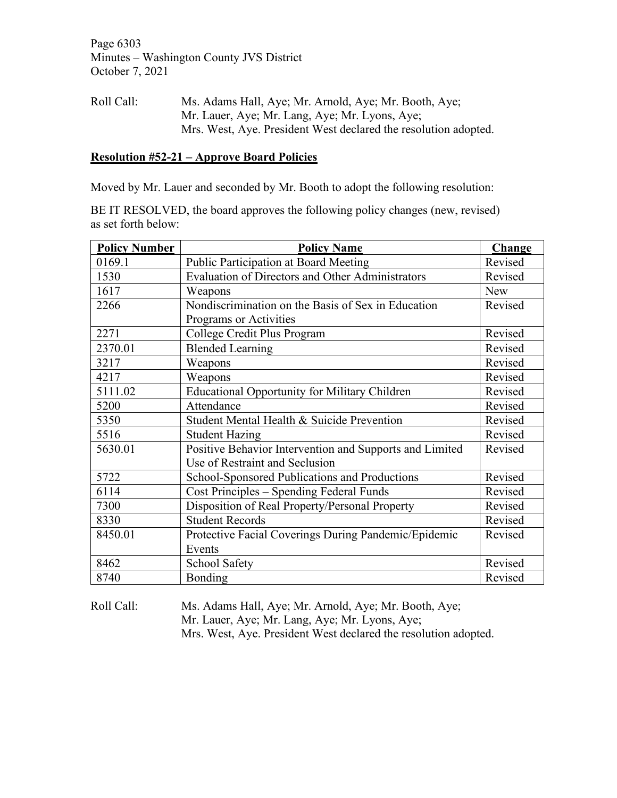Page 6303 Minutes – Washington County JVS District October 7, 2021

Roll Call: Ms. Adams Hall, Aye; Mr. Arnold, Aye; Mr. Booth, Aye; Mr. Lauer, Aye; Mr. Lang, Aye; Mr. Lyons, Aye; Mrs. West, Aye. President West declared the resolution adopted.

#### **Resolution #52-21 – Approve Board Policies**

Moved by Mr. Lauer and seconded by Mr. Booth to adopt the following resolution:

BE IT RESOLVED, the board approves the following policy changes (new, revised) as set forth below:

| <b>Policy Number</b> | <b>Policy Name</b>                                      | <b>Change</b> |
|----------------------|---------------------------------------------------------|---------------|
| 0169.1               | Public Participation at Board Meeting                   | Revised       |
| 1530                 | Evaluation of Directors and Other Administrators        | Revised       |
| 1617                 | Weapons                                                 | <b>New</b>    |
| 2266                 | Nondiscrimination on the Basis of Sex in Education      | Revised       |
|                      | Programs or Activities                                  |               |
| 2271                 | College Credit Plus Program                             | Revised       |
| 2370.01              | <b>Blended Learning</b>                                 | Revised       |
| 3217                 | Weapons                                                 | Revised       |
| 4217                 | Weapons                                                 | Revised       |
| 5111.02              | <b>Educational Opportunity for Military Children</b>    | Revised       |
| 5200                 | Attendance                                              | Revised       |
| 5350                 | Student Mental Health & Suicide Prevention              | Revised       |
| 5516                 | <b>Student Hazing</b>                                   | Revised       |
| 5630.01              | Positive Behavior Intervention and Supports and Limited | Revised       |
|                      | Use of Restraint and Seclusion                          |               |
| 5722                 | School-Sponsored Publications and Productions           | Revised       |
| 6114                 | Cost Principles – Spending Federal Funds                | Revised       |
| 7300                 | Disposition of Real Property/Personal Property          | Revised       |
| 8330                 | <b>Student Records</b>                                  | Revised       |
| 8450.01              | Protective Facial Coverings During Pandemic/Epidemic    | Revised       |
|                      | Events                                                  |               |
| 8462                 | School Safety                                           | Revised       |
| 8740                 | Bonding                                                 | Revised       |

Roll Call: Ms. Adams Hall, Aye; Mr. Arnold, Aye; Mr. Booth, Aye; Mr. Lauer, Aye; Mr. Lang, Aye; Mr. Lyons, Aye; Mrs. West, Aye. President West declared the resolution adopted.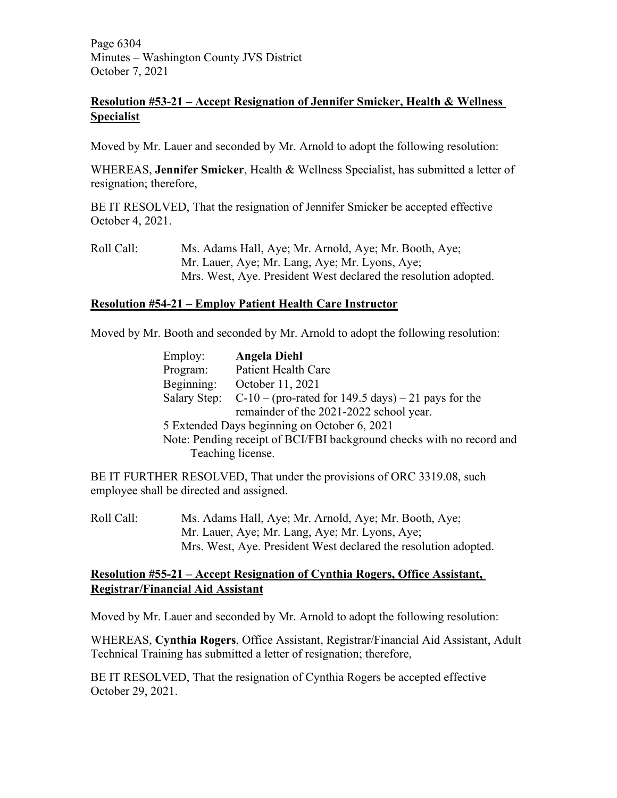Page 6304 Minutes – Washington County JVS District October 7, 2021

# **Resolution #53-21 – Accept Resignation of Jennifer Smicker, Health & Wellness Specialist**

Moved by Mr. Lauer and seconded by Mr. Arnold to adopt the following resolution:

WHEREAS, **Jennifer Smicker**, Health & Wellness Specialist, has submitted a letter of resignation; therefore,

BE IT RESOLVED, That the resignation of Jennifer Smicker be accepted effective October 4, 2021.

Roll Call: Ms. Adams Hall, Aye; Mr. Arnold, Aye; Mr. Booth, Aye; Mr. Lauer, Aye; Mr. Lang, Aye; Mr. Lyons, Aye; Mrs. West, Aye. President West declared the resolution adopted.

# **Resolution #54-21 – Employ Patient Health Care Instructor**

Moved by Mr. Booth and seconded by Mr. Arnold to adopt the following resolution:

| Employ:      | <b>Angela Diehl</b>                                                   |
|--------------|-----------------------------------------------------------------------|
| Program:     | <b>Patient Health Care</b>                                            |
| Beginning:   | October 11, 2021                                                      |
| Salary Step: | $C-10$ – (pro-rated for 149.5 days) – 21 pays for the                 |
|              | remainder of the 2021-2022 school year.                               |
|              | 5 Extended Days beginning on October 6, 2021                          |
|              | Note: Pending receipt of BCI/FBI background checks with no record and |
|              | Teaching license.                                                     |

BE IT FURTHER RESOLVED, That under the provisions of ORC 3319.08, such employee shall be directed and assigned.

Roll Call: Ms. Adams Hall, Aye; Mr. Arnold, Aye; Mr. Booth, Aye; Mr. Lauer, Aye; Mr. Lang, Aye; Mr. Lyons, Aye; Mrs. West, Aye. President West declared the resolution adopted.

# **Resolution #55-21 – Accept Resignation of Cynthia Rogers, Office Assistant, Registrar/Financial Aid Assistant**

Moved by Mr. Lauer and seconded by Mr. Arnold to adopt the following resolution:

WHEREAS, **Cynthia Rogers**, Office Assistant, Registrar/Financial Aid Assistant, Adult Technical Training has submitted a letter of resignation; therefore,

BE IT RESOLVED, That the resignation of Cynthia Rogers be accepted effective October 29, 2021.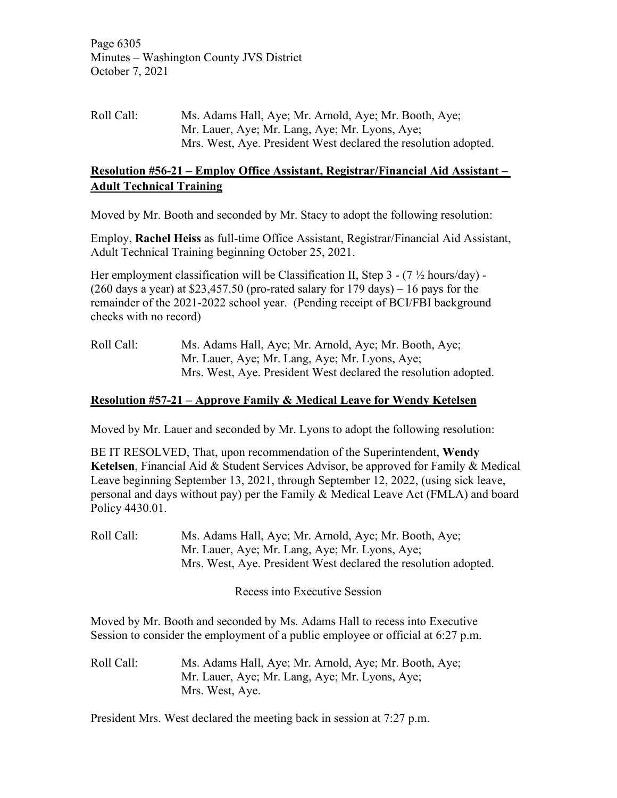Page 6305 Minutes – Washington County JVS District October 7, 2021

Roll Call: Ms. Adams Hall, Aye; Mr. Arnold, Aye; Mr. Booth, Aye; Mr. Lauer, Aye; Mr. Lang, Aye; Mr. Lyons, Aye; Mrs. West, Aye. President West declared the resolution adopted.

## **Resolution #56-21 – Employ Office Assistant, Registrar/Financial Aid Assistant – Adult Technical Training**

Moved by Mr. Booth and seconded by Mr. Stacy to adopt the following resolution:

Employ, **Rachel Heiss** as full-time Office Assistant, Registrar/Financial Aid Assistant, Adult Technical Training beginning October 25, 2021.

Her employment classification will be Classification II, Step  $3 - (7 \frac{1}{2} \text{ hours/day})$  - $(260 \text{ days a year})$  at \$23,457.50 (pro-rated salary for 179 days) – 16 pays for the remainder of the 2021-2022 school year. (Pending receipt of BCI/FBI background checks with no record)

Roll Call: Ms. Adams Hall, Aye; Mr. Arnold, Aye; Mr. Booth, Aye; Mr. Lauer, Aye; Mr. Lang, Aye; Mr. Lyons, Aye; Mrs. West, Aye. President West declared the resolution adopted.

# **Resolution #57-21 – Approve Family & Medical Leave for Wendy Ketelsen**

Moved by Mr. Lauer and seconded by Mr. Lyons to adopt the following resolution:

BE IT RESOLVED, That, upon recommendation of the Superintendent, **Wendy Ketelsen**, Financial Aid & Student Services Advisor, be approved for Family & Medical Leave beginning September 13, 2021, through September 12, 2022, (using sick leave, personal and days without pay) per the Family & Medical Leave Act (FMLA) and board Policy 4430.01.

Roll Call: Ms. Adams Hall, Aye; Mr. Arnold, Aye; Mr. Booth, Aye; Mr. Lauer, Aye; Mr. Lang, Aye; Mr. Lyons, Aye; Mrs. West, Aye. President West declared the resolution adopted.

Recess into Executive Session

Moved by Mr. Booth and seconded by Ms. Adams Hall to recess into Executive Session to consider the employment of a public employee or official at 6:27 p.m.

Roll Call: Ms. Adams Hall, Aye; Mr. Arnold, Aye; Mr. Booth, Aye; Mr. Lauer, Aye; Mr. Lang, Aye; Mr. Lyons, Aye; Mrs. West, Aye.

President Mrs. West declared the meeting back in session at 7:27 p.m.